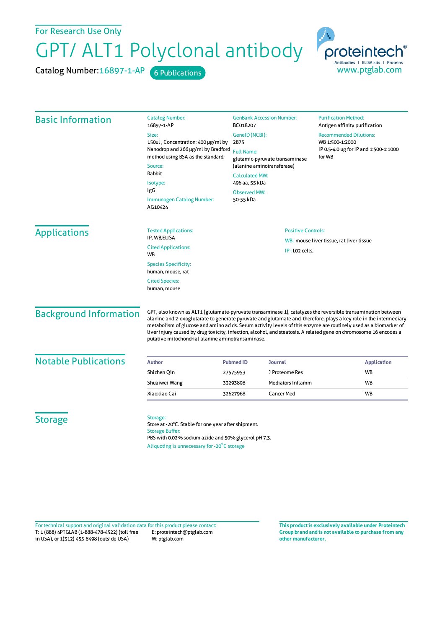## GPT/ ALT1 Polyclonal antibody For Research Use Only

Catalog Number: 16897-1-AP 6 Publications



| <b>Basic Information</b>      | <b>Catalog Number:</b><br>16897-1-AP                                                                                                                                                             | <b>GenBank Accession Number:</b><br>BC018207<br>GeneID (NCBI):<br>2875<br><b>Full Name:</b><br>glutamic-pyruvate transaminase<br>(alanine aminotransferase)<br><b>Calculated MW:</b><br>496 aa, 55 kDa<br><b>Observed MW:</b><br>50-55 kDa |                   | <b>Purification Method:</b><br>Antigen affinity purification<br><b>Recommended Dilutions:</b><br>WB 1:500-1:2000<br>IP 0.5-4.0 ug for IP and 1:500-1:1000<br>for WB |                                      |                                                                                                                                                                                                                                                                                                                                                                                                                                                                                                                                   |                           |                |                                          |
|-------------------------------|--------------------------------------------------------------------------------------------------------------------------------------------------------------------------------------------------|--------------------------------------------------------------------------------------------------------------------------------------------------------------------------------------------------------------------------------------------|-------------------|---------------------------------------------------------------------------------------------------------------------------------------------------------------------|--------------------------------------|-----------------------------------------------------------------------------------------------------------------------------------------------------------------------------------------------------------------------------------------------------------------------------------------------------------------------------------------------------------------------------------------------------------------------------------------------------------------------------------------------------------------------------------|---------------------------|----------------|------------------------------------------|
|                               | Size:<br>150ul, Concentration: 400 µg/ml by<br>Nanodrop and 266 µg/ml by Bradford<br>method using BSA as the standard;<br>Source:<br>Rabbit<br>Isotype:<br>IgG                                   |                                                                                                                                                                                                                                            |                   |                                                                                                                                                                     |                                      |                                                                                                                                                                                                                                                                                                                                                                                                                                                                                                                                   |                           |                |                                          |
|                               |                                                                                                                                                                                                  |                                                                                                                                                                                                                                            |                   |                                                                                                                                                                     | Immunogen Catalog Number:<br>AG10424 |                                                                                                                                                                                                                                                                                                                                                                                                                                                                                                                                   |                           |                |                                          |
|                               |                                                                                                                                                                                                  |                                                                                                                                                                                                                                            |                   |                                                                                                                                                                     | <b>Applications</b>                  | <b>Tested Applications:</b><br>IP, WB,ELISA                                                                                                                                                                                                                                                                                                                                                                                                                                                                                       | <b>Positive Controls:</b> |                |                                          |
|                               |                                                                                                                                                                                                  |                                                                                                                                                                                                                                            |                   |                                                                                                                                                                     |                                      | <b>Cited Applications:</b><br>WB                                                                                                                                                                                                                                                                                                                                                                                                                                                                                                  |                           | IP: LO2 cells, | WB: mouse liver tissue, rat liver tissue |
|                               | <b>Species Specificity:</b><br>human, mouse, rat<br><b>Cited Species:</b><br>human, mouse                                                                                                        |                                                                                                                                                                                                                                            |                   |                                                                                                                                                                     |                                      |                                                                                                                                                                                                                                                                                                                                                                                                                                                                                                                                   |                           |                |                                          |
| <b>Background Information</b> |                                                                                                                                                                                                  |                                                                                                                                                                                                                                            |                   |                                                                                                                                                                     |                                      | GPT, also known as ALT1 (glutamate-pyruvate transaminase 1), catalyzes the reversible transamination between<br>alanine and 2-oxoglutarate to generate pyruvate and glutamate and, therefore, plays a key role in the intermediary<br>metabolism of glucose and amino acids. Serum activity levels of this enzyme are routinely used as a biomarker of<br>liver injury caused by drug toxicity, infection, alcohol, and steatosis. A related gene on chromosome 16 encodes a<br>putative mitochondrial alanine aminotransaminase. |                           |                |                                          |
| <b>Notable Publications</b>   | <b>Author</b>                                                                                                                                                                                    | <b>Pubmed ID</b>                                                                                                                                                                                                                           | <b>Journal</b>    | <b>Application</b>                                                                                                                                                  |                                      |                                                                                                                                                                                                                                                                                                                                                                                                                                                                                                                                   |                           |                |                                          |
|                               | Shizhen Qin                                                                                                                                                                                      | 27575953                                                                                                                                                                                                                                   | J Proteome Res    | WB                                                                                                                                                                  |                                      |                                                                                                                                                                                                                                                                                                                                                                                                                                                                                                                                   |                           |                |                                          |
|                               | Shuaiwei Wang                                                                                                                                                                                    | 33293898                                                                                                                                                                                                                                   | Mediators Inflamm | <b>WB</b>                                                                                                                                                           |                                      |                                                                                                                                                                                                                                                                                                                                                                                                                                                                                                                                   |                           |                |                                          |
|                               | Xiaoxiao Cai                                                                                                                                                                                     | 32627968                                                                                                                                                                                                                                   | <b>Cancer Med</b> | WB                                                                                                                                                                  |                                      |                                                                                                                                                                                                                                                                                                                                                                                                                                                                                                                                   |                           |                |                                          |
| <b>Storage</b>                | Storage:<br>Store at -20°C. Stable for one year after shipment.<br><b>Storage Buffer:</b><br>PBS with 0.02% sodium azide and 50% glycerol pH 7.3.<br>Aliquoting is unnecessary for -20°C storage |                                                                                                                                                                                                                                            |                   |                                                                                                                                                                     |                                      |                                                                                                                                                                                                                                                                                                                                                                                                                                                                                                                                   |                           |                |                                          |

T: 1 (888) 4PTGLAB (1-888-478-4522) (toll free in USA), or 1(312) 455-8498 (outside USA) E: proteintech@ptglab.com W: ptglab.com Fortechnical support and original validation data forthis product please contact: **This productis exclusively available under Proteintech**

**Group brand and is not available to purchase from any other manufacturer.**